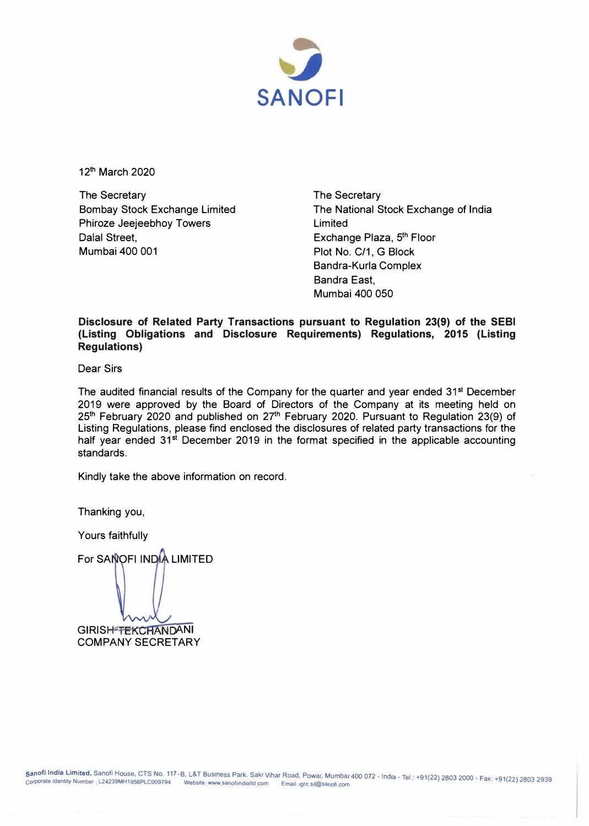

12**th** March 2020

The Secretary Bombay Stock Exchange Limited Phiroze Jeejeebhoy Towers Dalal Street, Mumbai 400 001

The Secretary The National Stock Exchange of India Limited Exchange Plaza, 5 **th** Floor Plot No. C/1, G Block Bandra-Kurla Complex Bandra Fast Mumbai 400 050

**Disclosure of Related Party Transactions pursuant to Regulation 23(9) of the SEBI (Listing Obligations and Disclosure Requirements) Regulations, 2015 (Listing Regulations)** 

Dear Sirs

The audited financial results of the Company for the quarter and year ended 31<sup>st</sup> December 2019 were approved by the Board of Directors of the Company at its meeting held on 25**th** February 2020 and published on 27**th** February 2020. Pursuant to Regulation 23(9) of Listing Regulations, please find enclosed the disclosures of related party transactions for the half year ended 31<sup>st</sup> December 2019 in the format specified in the applicable accounting standards.

Kindly take the above information on record.

Thanking you,

Yours faithfully

For SANOFI INDIA LIMITED

**GIRISH-TEKCHANDANI** COMPANY SECRETARY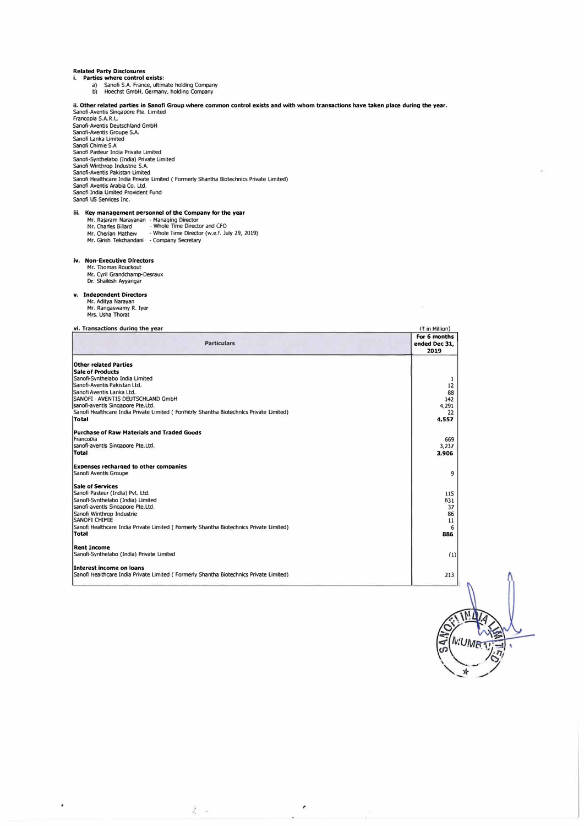- Related Party Disclosures **i. Parties where control exists:**  al Sanofi S.A. France, ultimate holding company b) Hoechst GmbH, Germany, holding COmpany
	-

ii. Other related parties in Sanofi Group where common control exists and with whom transactions have taken place during the year.<br>Sanofi-Aventis Singapore Pte. Limited<br>Francopia S.A.R.L. Sanofi-Aventis Deutschland GmbH<br>Sanofi-Aventis Groupe S.A.<br>Sanofi Lanka Limited<br>Sanofi Chimie S.A<br>Sanofi Pasteur India Private Limited Sanofi-Synthelabo (India) Private Limited<br>Sanofi Winthrop Industrie S.A.<br>Sanofi-Aventis Pakistan Limited<br>Sanofi Healthcare India Private Limited ( Formerly Shantha Biotechnics Private Limited) Sanofi Aventis Arabia Co. ltd. Sanofi India Limited Provident Fund Sanofi us Services Inc.

## iii. Key management personnel of the Company for the year

| Mr. Rajaram Narayanan - Managing Director |                                              |
|-------------------------------------------|----------------------------------------------|
| Mr. Charles Billard                       | - Whole Time Director and CFO                |
| Mr. Cherian Mathew                        | - Whole Time Director (w.e.f. July 29, 2019) |
| Mr. Girish Tekchandanl                    | - Company Secretary                          |

- **iv. Non-Executive Directors**  Mr. Thomas Rouckout
	- Mr. Cyril Grandchamp-Desraux Dr. Shailesh Ayyangar

# **v. Independent Directors**

- 
- Mr. Aditya Narayan Mr. Rangaswamy R. Iyer Mrs. Usha Thorat
- 

¥

# **vi. Transactions durina the vear**

| vi. Transactions during the year                                                        | (₹ in Million)                        |  |
|-----------------------------------------------------------------------------------------|---------------------------------------|--|
| <b>Particulars</b>                                                                      | For 6 months<br>ended Dec 31.<br>2019 |  |
| Other related Parties                                                                   |                                       |  |
| <b>Sale of Products</b>                                                                 |                                       |  |
| Sanofi-Synthelabo India Limited                                                         |                                       |  |
| Sanofi-Aventis Pakistan Ltd.                                                            | 12                                    |  |
| Sanofi Aventis Lanka Ltd.                                                               | 88                                    |  |
| <b>ISANOFI - AVENTIS DEUTSCHLAND GmbH</b>                                               | 142                                   |  |
| sanofi-aventis Singapore Pte.Ltd.                                                       | 4,291                                 |  |
| Sanofi Healthcare India Private Limited (Formerly Shantha Biotechnics Private Limited)  | 22                                    |  |
| Total                                                                                   | 4,557                                 |  |
| <b>Purchase of Raw Materials and Traded Goods</b>                                       |                                       |  |
| Francopia                                                                               | 669                                   |  |
| sanofi-aventis Singapore Pte. Ltd.                                                      | 3,237                                 |  |
| Total                                                                                   | 3,906                                 |  |
| <b>Expenses recharged to other companies</b>                                            |                                       |  |
| Sanofi Aventis Groupe                                                                   | 9                                     |  |
| <b>Sale of Services</b>                                                                 |                                       |  |
| Sanofi Pasteur (India) Pvt. Ltd.                                                        | 115                                   |  |
| Sanofl-Synthelabo (India) Limited                                                       | 631                                   |  |
| sanofi-aventis Singapore Pte.Ltd.                                                       | 37                                    |  |
| Sanofi Winthrop Industrie                                                               | 86                                    |  |
| <b>SANOFI CHIMIE</b>                                                                    | 11                                    |  |
| Sanofi Healthcare India Private Limited (Formerly Shantha Biotechnics Private Limited)  | 6                                     |  |
| Total                                                                                   | 886                                   |  |
| <b>Rent Income</b>                                                                      |                                       |  |
| Sanofi-Synthelabo (India) Private Limited                                               | (1)                                   |  |
| Interest income on loans                                                                |                                       |  |
| (Sanofi Healthcare India Private Limited (Formerly Shantha Biotechnics Private Limited) | 213                                   |  |

,

×.

 $\overline{\phantom{a}}$ 

ž.